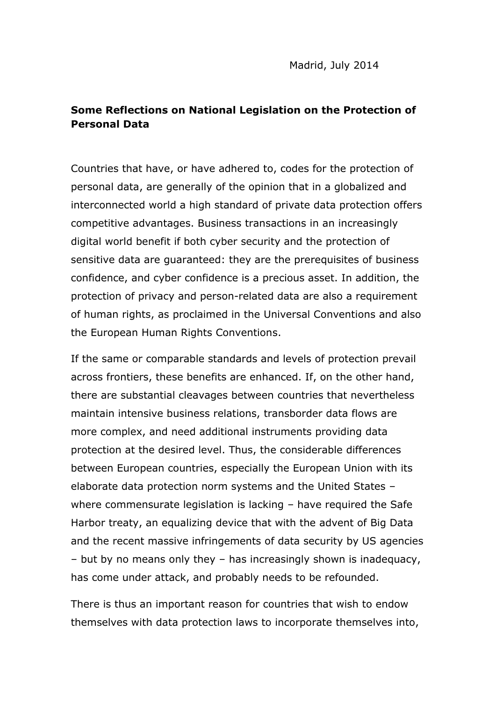## **Some Reflections on National Legislation on the Protection of Personal Data**

Countries that have, or have adhered to, codes for the protection of personal data, are generally of the opinion that in a globalized and interconnected world a high standard of private data protection offers competitive advantages. Business transactions in an increasingly digital world benefit if both cyber security and the protection of sensitive data are guaranteed: they are the prerequisites of business confidence, and cyber confidence is a precious asset. In addition, the protection of privacy and person-related data are also a requirement of human rights, as proclaimed in the Universal Conventions and also the European Human Rights Conventions.

If the same or comparable standards and levels of protection prevail across frontiers, these benefits are enhanced. If, on the other hand, there are substantial cleavages between countries that nevertheless maintain intensive business relations, transborder data flows are more complex, and need additional instruments providing data protection at the desired level. Thus, the considerable differences between European countries, especially the European Union with its elaborate data protection norm systems and the United States – where commensurate legislation is lacking – have required the Safe Harbor treaty, an equalizing device that with the advent of Big Data and the recent massive infringements of data security by US agencies – but by no means only they – has increasingly shown is inadequacy, has come under attack, and probably needs to be refounded.

There is thus an important reason for countries that wish to endow themselves with data protection laws to incorporate themselves into,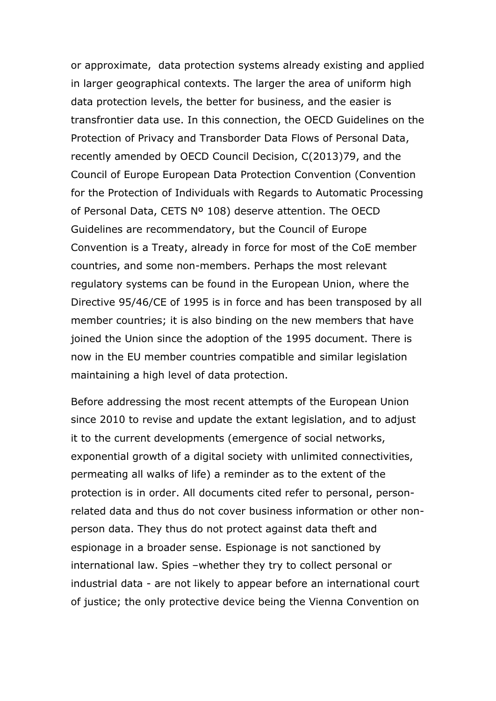or approximate, data protection systems already existing and applied in larger geographical contexts. The larger the area of uniform high data protection levels, the better for business, and the easier is transfrontier data use. In this connection, the OECD Guidelines on the Protection of Privacy and Transborder Data Flows of Personal Data, recently amended by OECD Council Decision, C(2013)79, and the Council of Europe European Data Protection Convention (Convention for the Protection of Individuals with Regards to Automatic Processing of Personal Data, CETS Nº 108) deserve attention. The OECD Guidelines are recommendatory, but the Council of Europe Convention is a Treaty, already in force for most of the CoE member countries, and some non-members. Perhaps the most relevant regulatory systems can be found in the European Union, where the Directive 95/46/CE of 1995 is in force and has been transposed by all member countries; it is also binding on the new members that have joined the Union since the adoption of the 1995 document. There is now in the EU member countries compatible and similar legislation maintaining a high level of data protection.

Before addressing the most recent attempts of the European Union since 2010 to revise and update the extant legislation, and to adjust it to the current developments (emergence of social networks, exponential growth of a digital society with unlimited connectivities, permeating all walks of life) a reminder as to the extent of the protection is in order. All documents cited refer to personal, personrelated data and thus do not cover business information or other nonperson data. They thus do not protect against data theft and espionage in a broader sense. Espionage is not sanctioned by international law. Spies –whether they try to collect personal or industrial data - are not likely to appear before an international court of justice; the only protective device being the Vienna Convention on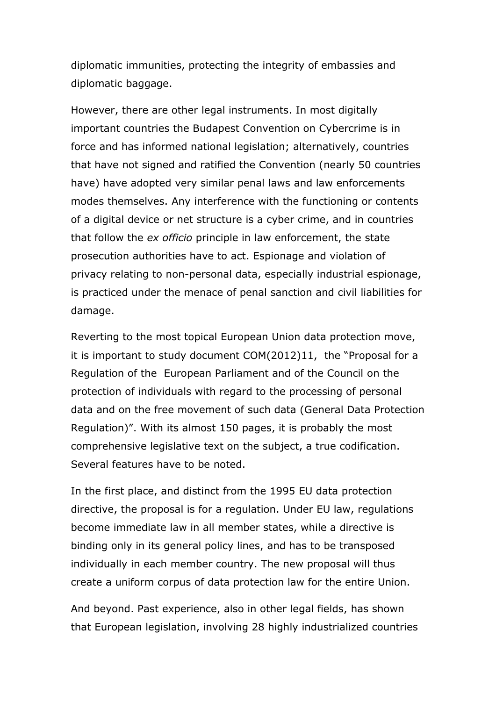diplomatic immunities, protecting the integrity of embassies and diplomatic baggage.

However, there are other legal instruments. In most digitally important countries the Budapest Convention on Cybercrime is in force and has informed national legislation; alternatively, countries that have not signed and ratified the Convention (nearly 50 countries have) have adopted very similar penal laws and law enforcements modes themselves. Any interference with the functioning or contents of a digital device or net structure is a cyber crime, and in countries that follow the *ex officio* principle in law enforcement, the state prosecution authorities have to act. Espionage and violation of privacy relating to non-personal data, especially industrial espionage, is practiced under the menace of penal sanction and civil liabilities for damage.

Reverting to the most topical European Union data protection move, it is important to study document COM(2012)11, the "Proposal for a Regulation of the European Parliament and of the Council on the protection of individuals with regard to the processing of personal data and on the free movement of such data (General Data Protection Regulation)". With its almost 150 pages, it is probably the most comprehensive legislative text on the subject, a true codification. Several features have to be noted.

In the first place, and distinct from the 1995 EU data protection directive, the proposal is for a regulation. Under EU law, regulations become immediate law in all member states, while a directive is binding only in its general policy lines, and has to be transposed individually in each member country. The new proposal will thus create a uniform corpus of data protection law for the entire Union.

And beyond. Past experience, also in other legal fields, has shown that European legislation, involving 28 highly industrialized countries